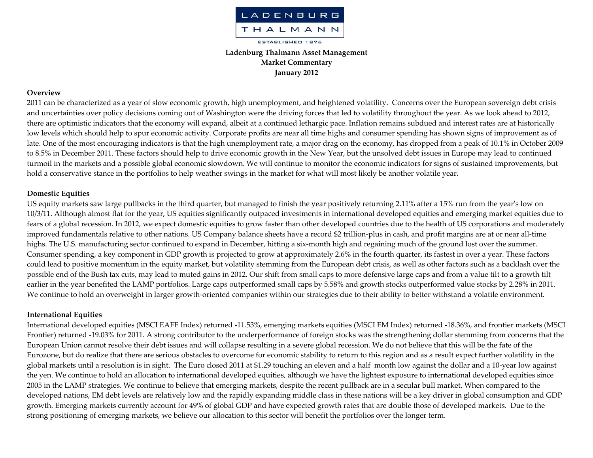

# **Ladenburg Thalmann Asset Management Market Commentary January 2012**

#### **Overview**

2011 can be characterized as <sup>a</sup> year of slow economic growth, high unemployment, and heightened volatility. Concerns over the European sovereign debt crisis and uncertainties over policy decisions coming out of Washington were the driving forces that led to volatility throughout the year. As we look ahead to 2012, there are optimistic indicators that the economy will expand, albeit at <sup>a</sup> continued lethargic pace. Inflation remains subdued and interest rates are at historically low levels which should help to spur economic activity. Corporate profits are near all time highs and consumer spending has shown signs of improvement as of late. One of the most encouraging indicators is that the high unemployment rate, <sup>a</sup> major drag on the economy, has dropped from <sup>a</sup> peak of 10.1% in October 2009 to 8.5% in December 2011. These factors should help to drive economic growth in the New Year, but the unsolved debt issues in Europe may lead to continued turmoil in the markets and <sup>a</sup> possible global economic slowdown. We will continue to monitor the economic indicators for signs of sustained improvements, but hold <sup>a</sup> conservative stance in the portfolios to help weather swings in the market for what will most likely be another volatile year.

#### **Domestic Equities**

US equity markets saw large pullbacks in the third quarter, but managed to finish the year positively returning 2.11% after a 15% run from the year's low on 10/3/11. Although almost flat for the year, US equities significantly outpaced investments in international developed equities and emerging market equities due to fears of <sup>a</sup> global recession. In 2012, we expec<sup>t</sup> domestic equities to grow faster than other developed countries due to the health of US corporations and moderately improved fundamentals relative to other nations. US Company balance sheets have a record \$2 trillion-plus in cash, and profit margins are at or near all-time highs. The U.S. manufacturing sector continued to expand in December, hitting a six-month high and regaining much of the ground lost over the summer. Consumer spending, <sup>a</sup> key componen<sup>t</sup> in GDP growth is projected to grow at approximately 2.6% in the fourth quarter, its fastest in over <sup>a</sup> year. These factors could lead to positive momentum in the equity market, but volatility stemming from the European debt crisis, as well as other factors such as <sup>a</sup> backlash over the possible end of the Bush tax cuts, may lead to muted gains in 2012. Our shift from small caps to more defensive large caps and from <sup>a</sup> value tilt to <sup>a</sup> growth tilt earlier in the year benefited the LAMP portfolios. Large caps outperformed small caps by 5.58% and growth stocks outperformed value stocks by 2.28% in 2011. We continue to hold an overweight in larger growth‐oriented companies within our strategies due to their ability to better withstand <sup>a</sup> volatile environment.

#### **International Equities**

International developed equities (MSCI EAFE Index) returned ‐11.53%, emerging markets equities (MSCI EM Index) returned ‐18.36%, and frontier markets (MSCI Frontier) returned -19.03% for 2011. A strong contributor to the underperformance of foreign stocks was the strengthening dollar stemming from concerns that the European Union cannot resolve their debt issues and will collapse resulting in <sup>a</sup> severe global recession. We do not believe that this will be the fate of the Eurozone, but do realize that there are serious obstacles to overcome for economic stability to return to this region and as <sup>a</sup> result expec<sup>t</sup> further volatility in the global markets until <sup>a</sup> resolution is in sight. The Euro closed 2011 at \$1.29 touching an eleven and <sup>a</sup> half month low against the dollar and <sup>a</sup> 10‐year low against the yen. We continue to hold an allocation to international developed equities, although we have the lightest exposure to international developed equities since 2005 in the LAMP strategies. We continue to believe that emerging markets, despite the recent pullback are in <sup>a</sup> secular bull market. When compared to the developed nations, EM debt levels are relatively low and the rapidly expanding middle class in these nations will be <sup>a</sup> key driver in global consumption and GDP growth. Emerging markets currently account for 49% of global GDP and have expected growth rates that are double those of developed markets. Due to the strong positioning of emerging markets, we believe our allocation to this sector will benefit the portfolios over the longer term.